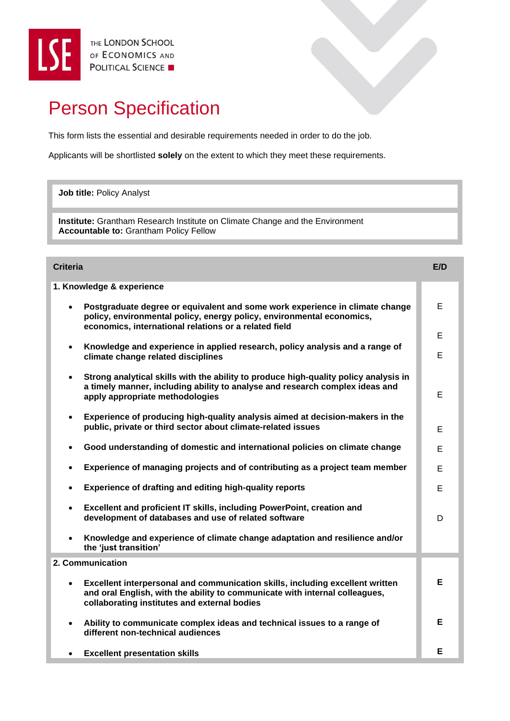## Person Specification

This form lists the essential and desirable requirements needed in order to do the job.

Applicants will be shortlisted **solely** on the extent to which they meet these requirements.

**Job title:** Policy Analyst

**Institute:** Grantham Research Institute on Climate Change and the Environment **Accountable to:** Grantham Policy Fellow

**. Accountable to:**

| <b>Criteria</b>                                                                                                                                                                                                             | E/D |
|-----------------------------------------------------------------------------------------------------------------------------------------------------------------------------------------------------------------------------|-----|
| 1. Knowledge & experience                                                                                                                                                                                                   |     |
| Postgraduate degree or equivalent and some work experience in climate change<br>$\bullet$<br>policy, environmental policy, energy policy, environmental economics,<br>economics, international relations or a related field | E   |
|                                                                                                                                                                                                                             | E   |
| Knowledge and experience in applied research, policy analysis and a range of<br>$\bullet$<br>climate change related disciplines                                                                                             | E   |
| Strong analytical skills with the ability to produce high-quality policy analysis in<br>$\bullet$<br>a timely manner, including ability to analyse and research complex ideas and<br>apply appropriate methodologies        | E   |
| Experience of producing high-quality analysis aimed at decision-makers in the<br>$\bullet$<br>public, private or third sector about climate-related issues                                                                  | E   |
| Good understanding of domestic and international policies on climate change<br>$\bullet$                                                                                                                                    | E   |
| Experience of managing projects and of contributing as a project team member<br>$\bullet$                                                                                                                                   | E   |
| <b>Experience of drafting and editing high-quality reports</b><br>$\bullet$                                                                                                                                                 | E   |
| Excellent and proficient IT skills, including PowerPoint, creation and<br>$\bullet$<br>development of databases and use of related software                                                                                 | D   |
| Knowledge and experience of climate change adaptation and resilience and/or<br>$\bullet$<br>the 'just transition'                                                                                                           |     |
| 2. Communication                                                                                                                                                                                                            |     |
| Excellent interpersonal and communication skills, including excellent written<br>$\bullet$<br>and oral English, with the ability to communicate with internal colleagues,<br>collaborating institutes and external bodies   | Е   |
| Ability to communicate complex ideas and technical issues to a range of<br>$\bullet$<br>different non-technical audiences                                                                                                   | E   |
| <b>Excellent presentation skills</b><br>$\bullet$                                                                                                                                                                           | Е   |